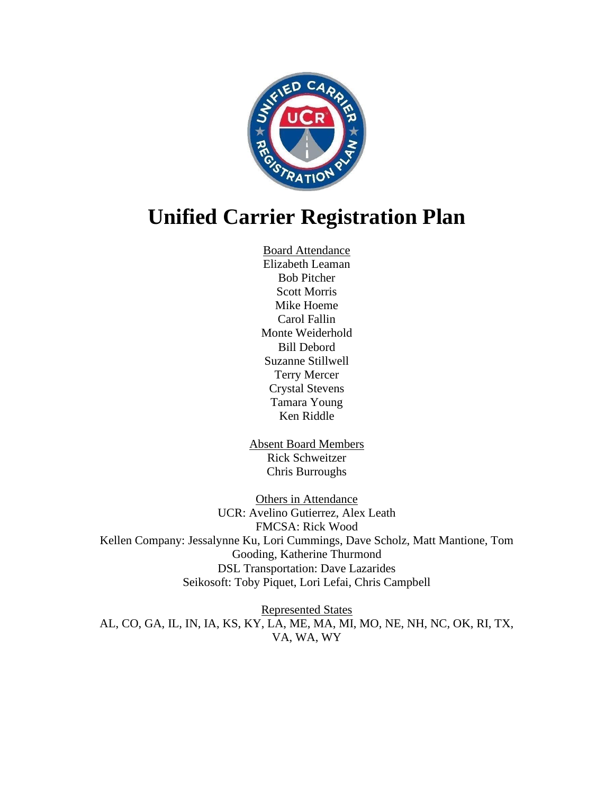

# **Unified Carrier Registration Plan**

Board Attendance Elizabeth Leaman Bob Pitcher Scott Morris Mike Hoeme Carol Fallin Monte Weiderhold Bill Debord Suzanne Stillwell Terry Mercer Crystal Stevens Tamara Young Ken Riddle

Absent Board Members Rick Schweitzer Chris Burroughs

Others in Attendance UCR: Avelino Gutierrez, Alex Leath FMCSA: Rick Wood Kellen Company: Jessalynne Ku, Lori Cummings, Dave Scholz, Matt Mantione, Tom Gooding, Katherine Thurmond DSL Transportation: Dave Lazarides Seikosoft: Toby Piquet, Lori Lefai, Chris Campbell

Represented States AL, CO, GA, IL, IN, IA, KS, KY, LA, ME, MA, MI, MO, NE, NH, NC, OK, RI, TX, VA, WA, WY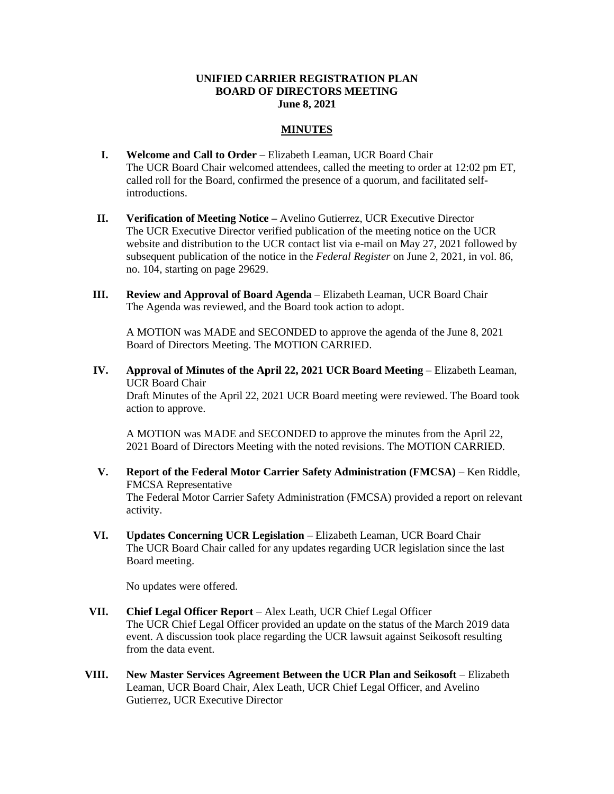#### **UNIFIED CARRIER REGISTRATION PLAN BOARD OF DIRECTORS MEETING June 8, 2021**

### **MINUTES**

- **I. Welcome and Call to Order –** Elizabeth Leaman, UCR Board Chair The UCR Board Chair welcomed attendees, called the meeting to order at 12:02 pm ET, called roll for the Board, confirmed the presence of a quorum, and facilitated selfintroductions.
- **II. Verification of Meeting Notice –** Avelino Gutierrez, UCR Executive Director The UCR Executive Director verified publication of the meeting notice on the UCR website and distribution to the UCR contact list via e-mail on May 27, 2021 followed by subsequent publication of the notice in the *Federal Register* on June 2, 2021, in vol. 86, no. 104, starting on page 29629.
- **III. Review and Approval of Board Agenda** Elizabeth Leaman, UCR Board Chair The Agenda was reviewed, and the Board took action to adopt.

A MOTION was MADE and SECONDED to approve the agenda of the June 8, 2021 Board of Directors Meeting. The MOTION CARRIED.

**IV. Approval of Minutes of the April 22, 2021 UCR Board Meeting** – Elizabeth Leaman, UCR Board Chair

Draft Minutes of the April 22, 2021 UCR Board meeting were reviewed. The Board took action to approve.

A MOTION was MADE and SECONDED to approve the minutes from the April 22, 2021 Board of Directors Meeting with the noted revisions. The MOTION CARRIED.

- **V. Report of the Federal Motor Carrier Safety Administration (FMCSA)** Ken Riddle, FMCSA Representative The Federal Motor Carrier Safety Administration (FMCSA) provided a report on relevant activity.
- **VI. Updates Concerning UCR Legislation** Elizabeth Leaman, UCR Board Chair The UCR Board Chair called for any updates regarding UCR legislation since the last Board meeting.

No updates were offered.

- **VII. Chief Legal Officer Report** Alex Leath, UCR Chief Legal Officer The UCR Chief Legal Officer provided an update on the status of the March 2019 data event. A discussion took place regarding the UCR lawsuit against Seikosoft resulting from the data event.
- **VIII. New Master Services Agreement Between the UCR Plan and Seikosoft** Elizabeth Leaman, UCR Board Chair, Alex Leath, UCR Chief Legal Officer, and Avelino Gutierrez, UCR Executive Director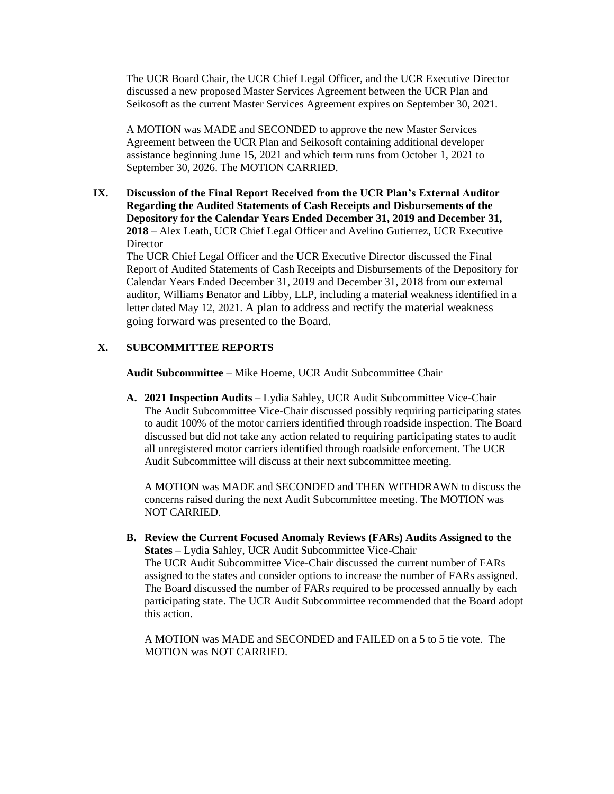The UCR Board Chair, the UCR Chief Legal Officer, and the UCR Executive Director discussed a new proposed Master Services Agreement between the UCR Plan and Seikosoft as the current Master Services Agreement expires on September 30, 2021.

A MOTION was MADE and SECONDED to approve the new Master Services Agreement between the UCR Plan and Seikosoft containing additional developer assistance beginning June 15, 2021 and which term runs from October 1, 2021 to September 30, 2026. The MOTION CARRIED.

**IX. Discussion of the Final Report Received from the UCR Plan's External Auditor Regarding the Audited Statements of Cash Receipts and Disbursements of the Depository for the Calendar Years Ended December 31, 2019 and December 31, 2018** – Alex Leath, UCR Chief Legal Officer and Avelino Gutierrez, UCR Executive **Director** 

The UCR Chief Legal Officer and the UCR Executive Director discussed the Final Report of Audited Statements of Cash Receipts and Disbursements of the Depository for Calendar Years Ended December 31, 2019 and December 31, 2018 from our external auditor, Williams Benator and Libby, LLP, including a material weakness identified in a letter dated May 12, 2021. A plan to address and rectify the material weakness going forward was presented to the Board.

## **X. SUBCOMMITTEE REPORTS**

**Audit Subcommittee** – Mike Hoeme, UCR Audit Subcommittee Chair

**A. 2021 Inspection Audits** – Lydia Sahley, UCR Audit Subcommittee Vice-Chair The Audit Subcommittee Vice-Chair discussed possibly requiring participating states to audit 100% of the motor carriers identified through roadside inspection. The Board discussed but did not take any action related to requiring participating states to audit all unregistered motor carriers identified through roadside enforcement. The UCR Audit Subcommittee will discuss at their next subcommittee meeting.

A MOTION was MADE and SECONDED and THEN WITHDRAWN to discuss the concerns raised during the next Audit Subcommittee meeting. The MOTION was NOT CARRIED.

**B. Review the Current Focused Anomaly Reviews (FARs) Audits Assigned to the States** – Lydia Sahley, UCR Audit Subcommittee Vice-Chair The UCR Audit Subcommittee Vice-Chair discussed the current number of FARs assigned to the states and consider options to increase the number of FARs assigned. The Board discussed the number of FARs required to be processed annually by each participating state. The UCR Audit Subcommittee recommended that the Board adopt this action.

A MOTION was MADE and SECONDED and FAILED on a 5 to 5 tie vote. The MOTION was NOT CARRIED.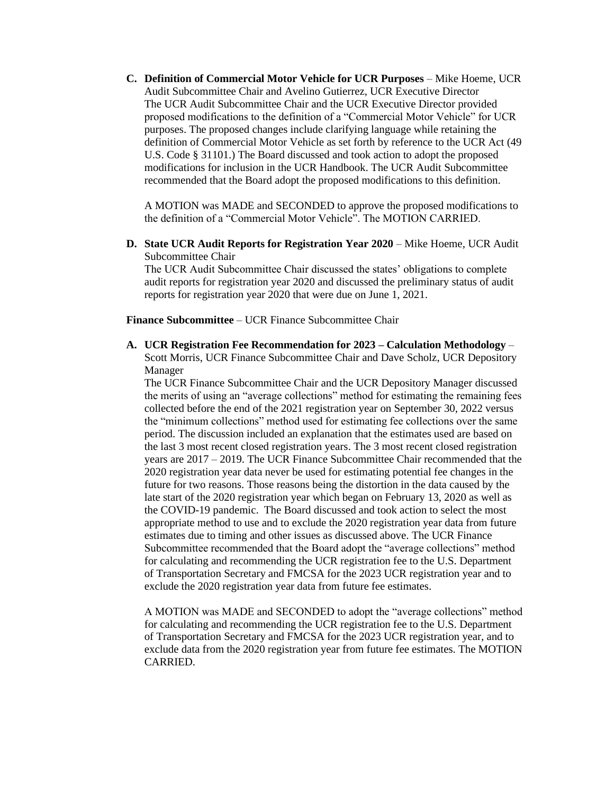**C. Definition of Commercial Motor Vehicle for UCR Purposes** – Mike Hoeme, UCR Audit Subcommittee Chair and Avelino Gutierrez, UCR Executive Director The UCR Audit Subcommittee Chair and the UCR Executive Director provided proposed modifications to the definition of a "Commercial Motor Vehicle" for UCR purposes. The proposed changes include clarifying language while retaining the definition of Commercial Motor Vehicle as set forth by reference to the UCR Act (49 U.S. Code § 31101.) The Board discussed and took action to adopt the proposed modifications for inclusion in the UCR Handbook. The UCR Audit Subcommittee recommended that the Board adopt the proposed modifications to this definition.

A MOTION was MADE and SECONDED to approve the proposed modifications to the definition of a "Commercial Motor Vehicle". The MOTION CARRIED.

**D. State UCR Audit Reports for Registration Year 2020** – Mike Hoeme, UCR Audit Subcommittee Chair

The UCR Audit Subcommittee Chair discussed the states' obligations to complete audit reports for registration year 2020 and discussed the preliminary status of audit reports for registration year 2020 that were due on June 1, 2021.

**Finance Subcommittee** – UCR Finance Subcommittee Chair

**A. UCR Registration Fee Recommendation for 2023 – Calculation Methodology** – Scott Morris, UCR Finance Subcommittee Chair and Dave Scholz, UCR Depository Manager

The UCR Finance Subcommittee Chair and the UCR Depository Manager discussed the merits of using an "average collections" method for estimating the remaining fees collected before the end of the 2021 registration year on September 30, 2022 versus the "minimum collections" method used for estimating fee collections over the same period. The discussion included an explanation that the estimates used are based on the last 3 most recent closed registration years. The 3 most recent closed registration years are 2017 – 2019. The UCR Finance Subcommittee Chair recommended that the 2020 registration year data never be used for estimating potential fee changes in the future for two reasons. Those reasons being the distortion in the data caused by the late start of the 2020 registration year which began on February 13, 2020 as well as the COVID-19 pandemic. The Board discussed and took action to select the most appropriate method to use and to exclude the 2020 registration year data from future estimates due to timing and other issues as discussed above. The UCR Finance Subcommittee recommended that the Board adopt the "average collections" method for calculating and recommending the UCR registration fee to the U.S. Department of Transportation Secretary and FMCSA for the 2023 UCR registration year and to exclude the 2020 registration year data from future fee estimates.

A MOTION was MADE and SECONDED to adopt the "average collections" method for calculating and recommending the UCR registration fee to the U.S. Department of Transportation Secretary and FMCSA for the 2023 UCR registration year, and to exclude data from the 2020 registration year from future fee estimates. The MOTION CARRIED.